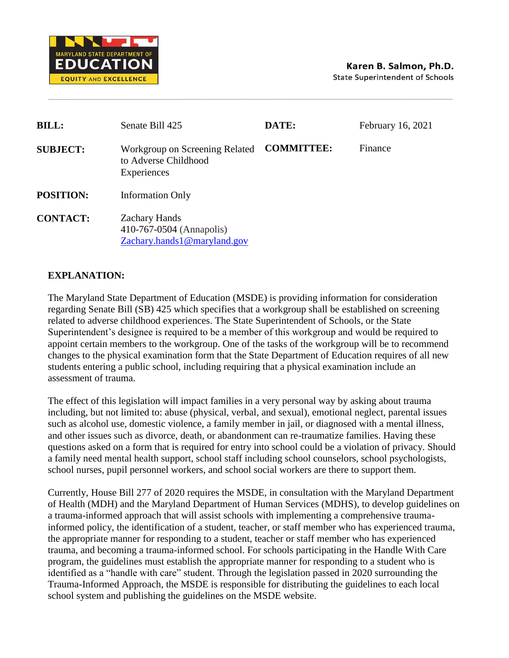

| <b>BILL:</b>     | Senate Bill 425                                                                 | DATE:             | February 16, 2021 |
|------------------|---------------------------------------------------------------------------------|-------------------|-------------------|
| <b>SUBJECT:</b>  | Workgroup on Screening Related<br>to Adverse Childhood<br>Experiences           | <b>COMMITTEE:</b> | Finance           |
| <b>POSITION:</b> | <b>Information Only</b>                                                         |                   |                   |
| <b>CONTACT:</b>  | <b>Zachary Hands</b><br>410-767-0504 (Annapolis)<br>Zachary.hands1@maryland.gov |                   |                   |

## **EXPLANATION:**

The Maryland State Department of Education (MSDE) is providing information for consideration regarding Senate Bill (SB) 425 which specifies that a workgroup shall be established on screening related to adverse childhood experiences. The State Superintendent of Schools, or the State Superintendent's designee is required to be a member of this workgroup and would be required to appoint certain members to the workgroup. One of the tasks of the workgroup will be to recommend changes to the physical examination form that the State Department of Education requires of all new students entering a public school, including requiring that a physical examination include an assessment of trauma.

The effect of this legislation will impact families in a very personal way by asking about trauma including, but not limited to: abuse (physical, verbal, and sexual), emotional neglect, parental issues such as alcohol use, domestic violence, a family member in jail, or diagnosed with a mental illness, and other issues such as divorce, death, or abandonment can re-traumatize families. Having these questions asked on a form that is required for entry into school could be a violation of privacy. Should a family need mental health support, school staff including school counselors, school psychologists, school nurses, pupil personnel workers, and school social workers are there to support them.

Currently, House Bill 277 of 2020 requires the MSDE, in consultation with the Maryland Department of Health (MDH) and the Maryland Department of Human Services (MDHS), to develop guidelines on a trauma-informed approach that will assist schools with implementing a comprehensive traumainformed policy, the identification of a student, teacher, or staff member who has experienced trauma, the appropriate manner for responding to a student, teacher or staff member who has experienced trauma, and becoming a trauma-informed school. For schools participating in the Handle With Care program, the guidelines must establish the appropriate manner for responding to a student who is identified as a "handle with care" student. Through the legislation passed in 2020 surrounding the Trauma-Informed Approach, the MSDE is responsible for distributing the guidelines to each local school system and publishing the guidelines on the MSDE website.